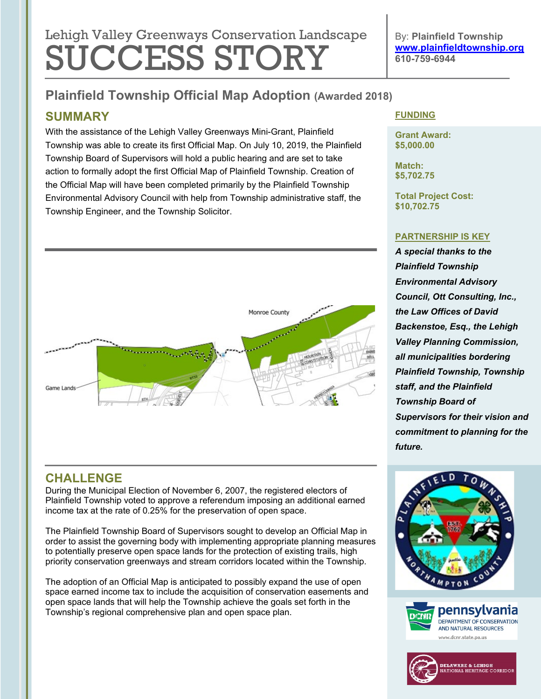# Lehigh Valley Greenways Conservation Landscape SUCCESS STORY

By: **Plainfield Township [www.plainfieldtownship.org](http://www.plainfieldtownship.org/) 610-759-6944**

## **Plainfield Township Official Map Adoption (Awarded 2018)**

## **SUMMARY**

With the assistance of the Lehigh Valley Greenways Mini-Grant, Plainfield Township was able to create its first Official Map. On July 10, 2019, the Plainfield Township Board of Supervisors will hold a public hearing and are set to take action to formally adopt the first Official Map of Plainfield Township. Creation of the Official Map will have been completed primarily by the Plainfield Township Environmental Advisory Council with help from Township administrative staff, the Township Engineer, and the Township Solicitor.



## **CHALLENGE**

During the Municipal Election of November 6, 2007, the registered electors of Plainfield Township voted to approve a referendum imposing an additional earned income tax at the rate of 0.25% for the preservation of open space.

The Plainfield Township Board of Supervisors sought to develop an Official Map in order to assist the governing body with implementing appropriate planning measures to potentially preserve open space lands for the protection of existing trails, high priority conservation greenways and stream corridors located within the Township.

The adoption of an Official Map is anticipated to possibly expand the use of open space earned income tax to include the acquisition of conservation easements and open space lands that will help the Township achieve the goals set forth in the Township's regional comprehensive plan and open space plan.

#### **FUNDING**

**Grant Award: \$5,000.00**

**Match: \$5,702.75**

**Total Project Cost: \$10,702.75**

#### **PARTNERSHIP IS KEY**

*A special thanks to the Plainfield Township Environmental Advisory Council, Ott Consulting, Inc., the Law Offices of David Backenstoe, Esq., the Lehigh Valley Planning Commission, all municipalities bordering Plainfield Township, Township staff, and the Plainfield Township Board of Supervisors for their vision and commitment to planning for the future.*